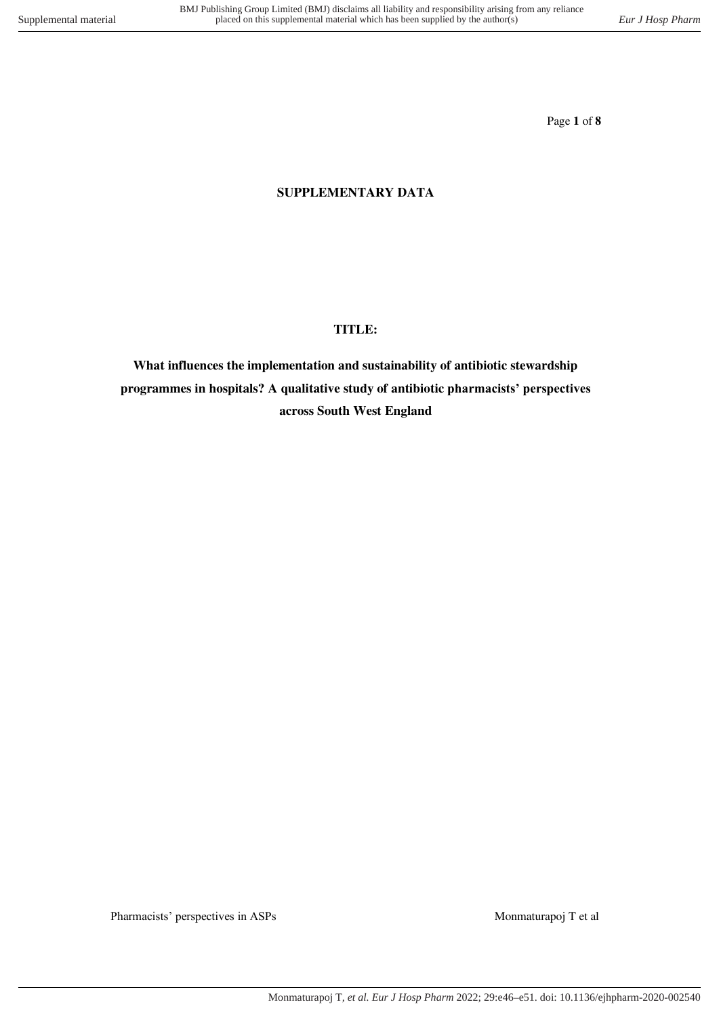Page **1** of **8**

## **SUPPLEMENTARY DATA**

### **TITLE:**

**What influences the implementation and sustainability of antibiotic stewardship programmes in hospitals? A qualitative study of antibiotic pharmacists' perspectives across South West England**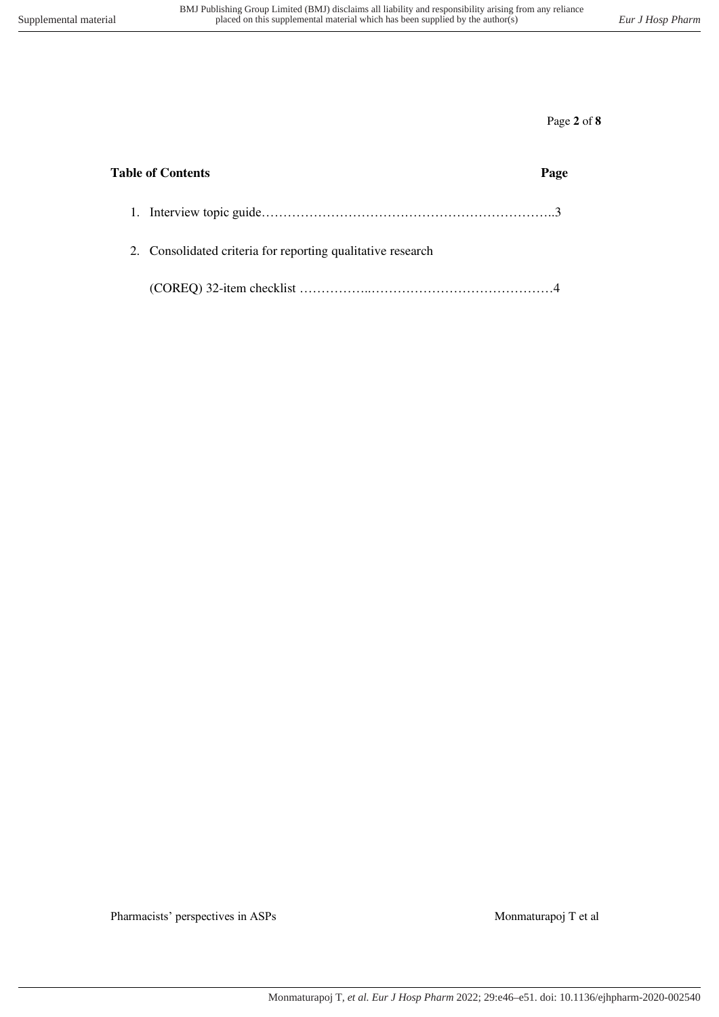Page **2** of **8**

| <b>Table of Contents</b> |                                                             |  |
|--------------------------|-------------------------------------------------------------|--|
|                          |                                                             |  |
|                          | 2. Consolidated criteria for reporting qualitative research |  |
|                          |                                                             |  |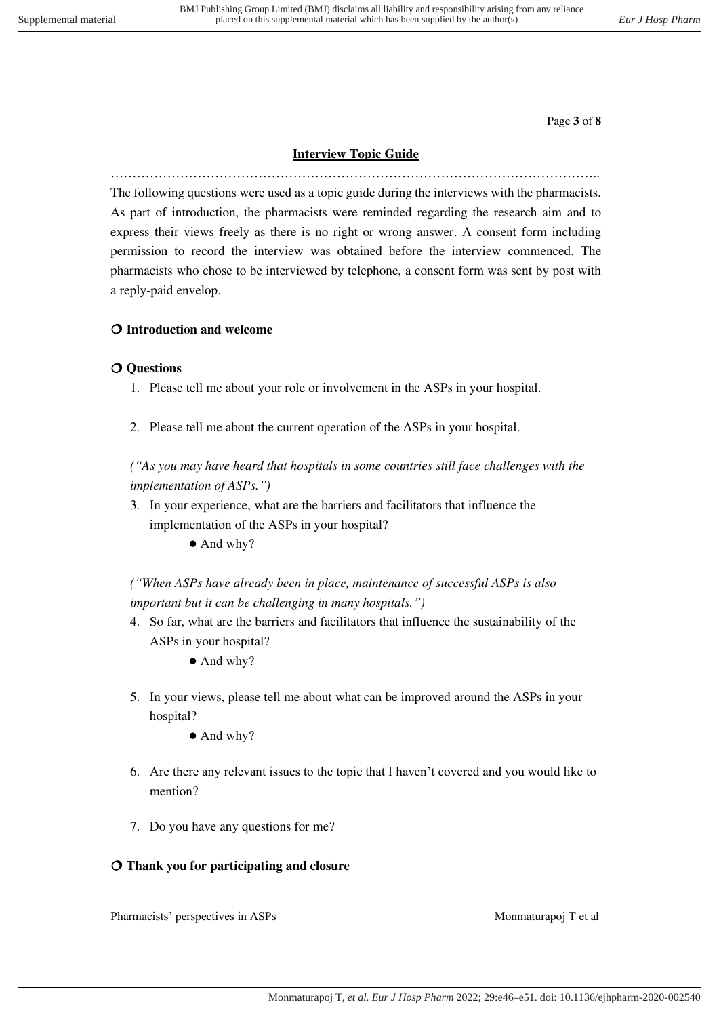Page **3** of **8**

## **Interview Topic Guide**

………………………………………………………………………………………………….. The following questions were used as a topic guide during the interviews with the pharmacists. As part of introduction, the pharmacists were reminded regarding the research aim and to express their views freely as there is no right or wrong answer. A consent form including permission to record the interview was obtained before the interview commenced. The pharmacists who chose to be interviewed by telephone, a consent form was sent by post with a reply-paid envelop.

## **Introduction and welcome**

### **Questions**

- 1. Please tell me about your role or involvement in the ASPs in your hospital.
- 2. Please tell me about the current operation of the ASPs in your hospital.

*("As you may have heard that hospitals in some countries still face challenges with the implementation of ASPs.")* 

- 3. In your experience, what are the barriers and facilitators that influence the implementation of the ASPs in your hospital?
	- And why?

*("When ASPs have already been in place, maintenance of successful ASPs is also important but it can be challenging in many hospitals.")* 

- 4. So far, what are the barriers and facilitators that influence the sustainability of the ASPs in your hospital?
	- And why?
- 5. In your views, please tell me about what can be improved around the ASPs in your hospital?
	- And why?
- 6. Are there any relevant issues to the topic that I haven't covered and you would like to mention?
- 7. Do you have any questions for me?

### **Thank you for participating and closure**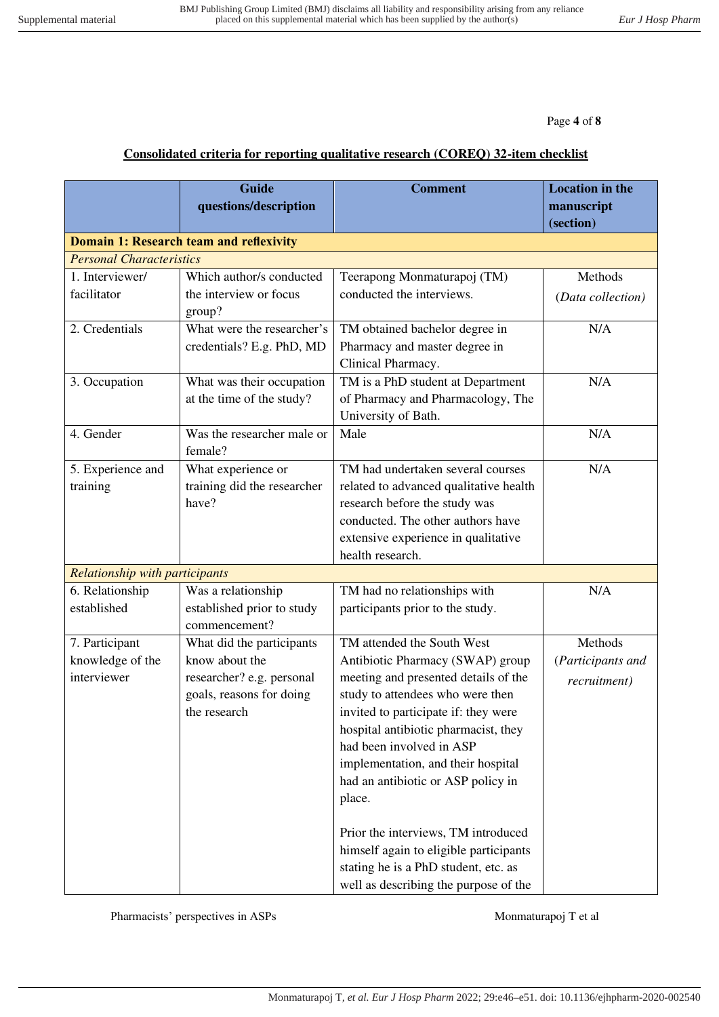Page **4** of **8**

# **Consolidated criteria for reporting qualitative research (COREQ) 32-item checklist**

|                                       | <b>Guide</b>                                   | <b>Comment</b>                         | <b>Location in the</b> |
|---------------------------------------|------------------------------------------------|----------------------------------------|------------------------|
|                                       | questions/description                          |                                        | manuscript             |
|                                       |                                                |                                        | (section)              |
|                                       | <b>Domain 1: Research team and reflexivity</b> |                                        |                        |
| <b>Personal Characteristics</b>       |                                                |                                        |                        |
| 1. Interviewer/                       | Which author/s conducted                       | Teerapong Monmaturapoj (TM)            | Methods                |
| facilitator                           | the interview or focus                         | conducted the interviews.              | (Data collection)      |
|                                       | group?                                         |                                        |                        |
| 2. Credentials                        | What were the researcher's                     | TM obtained bachelor degree in         | N/A                    |
|                                       | credentials? E.g. PhD, MD                      | Pharmacy and master degree in          |                        |
|                                       |                                                | Clinical Pharmacy.                     |                        |
| 3. Occupation                         | What was their occupation                      | TM is a PhD student at Department      | N/A                    |
|                                       | at the time of the study?                      | of Pharmacy and Pharmacology, The      |                        |
|                                       |                                                | University of Bath.                    |                        |
| 4. Gender                             | Was the researcher male or                     | Male                                   | N/A                    |
|                                       | female?                                        |                                        |                        |
| 5. Experience and                     | What experience or                             | TM had undertaken several courses      | N/A                    |
| training                              | training did the researcher                    | related to advanced qualitative health |                        |
|                                       | have?                                          | research before the study was          |                        |
|                                       |                                                | conducted. The other authors have      |                        |
|                                       |                                                | extensive experience in qualitative    |                        |
|                                       |                                                | health research.                       |                        |
| <b>Relationship with participants</b> |                                                |                                        |                        |
| 6. Relationship                       | Was a relationship                             | TM had no relationships with           | N/A                    |
| established                           | established prior to study                     | participants prior to the study.       |                        |
|                                       | commencement?                                  |                                        |                        |
| 7. Participant                        | What did the participants                      | TM attended the South West             | Methods                |
| knowledge of the                      | know about the                                 | Antibiotic Pharmacy (SWAP) group       | (Participants and      |
| interviewer                           | researcher? e.g. personal                      | meeting and presented details of the   | recruitment)           |
|                                       | goals, reasons for doing                       | study to attendees who were then       |                        |
|                                       | the research                                   | invited to participate if: they were   |                        |
|                                       |                                                | hospital antibiotic pharmacist, they   |                        |
|                                       |                                                | had been involved in ASP               |                        |
|                                       |                                                | implementation, and their hospital     |                        |
|                                       |                                                | had an antibiotic or ASP policy in     |                        |
|                                       |                                                | place.                                 |                        |
|                                       |                                                | Prior the interviews, TM introduced    |                        |
|                                       |                                                | himself again to eligible participants |                        |
|                                       |                                                | stating he is a PhD student, etc. as   |                        |
|                                       |                                                | well as describing the purpose of the  |                        |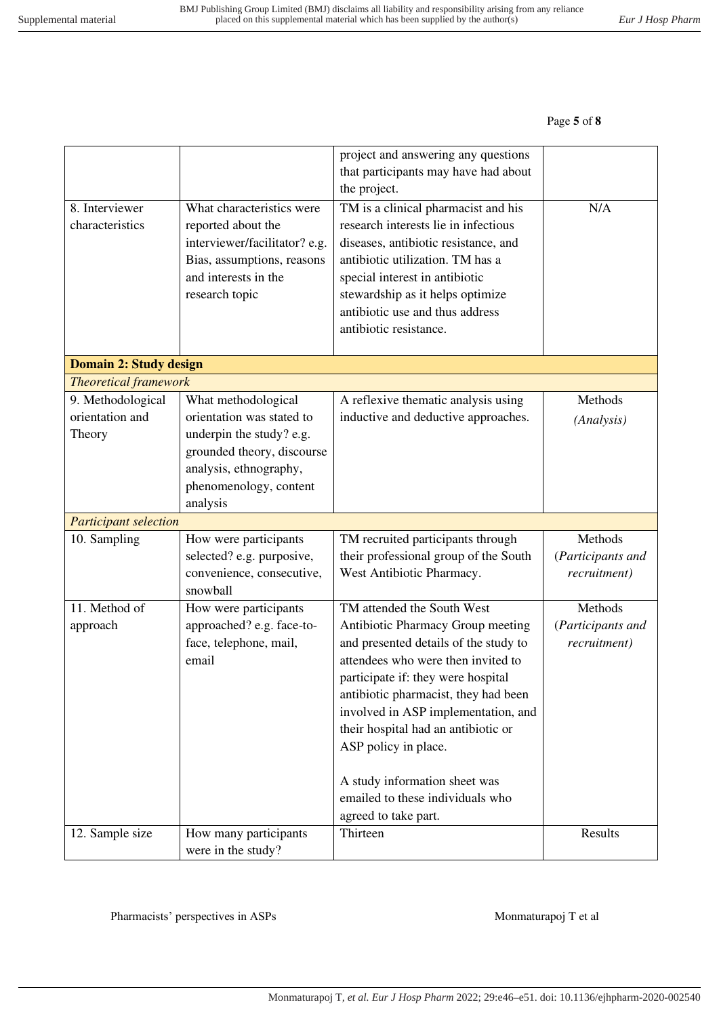## Page **5** of **8**

|                                   |                                                                                                                                                          | project and answering any questions<br>that participants may have had about<br>the project.                                                                                                                                                                                                |                   |
|-----------------------------------|----------------------------------------------------------------------------------------------------------------------------------------------------------|--------------------------------------------------------------------------------------------------------------------------------------------------------------------------------------------------------------------------------------------------------------------------------------------|-------------------|
| 8. Interviewer<br>characteristics | What characteristics were<br>reported about the<br>interviewer/facilitator? e.g.<br>Bias, assumptions, reasons<br>and interests in the<br>research topic | TM is a clinical pharmacist and his<br>research interests lie in infectious<br>diseases, antibiotic resistance, and<br>antibiotic utilization. TM has a<br>special interest in antibiotic<br>stewardship as it helps optimize<br>antibiotic use and thus address<br>antibiotic resistance. | N/A               |
| Domain 2: Study design            |                                                                                                                                                          |                                                                                                                                                                                                                                                                                            |                   |
| <b>Theoretical framework</b>      |                                                                                                                                                          |                                                                                                                                                                                                                                                                                            |                   |
| 9. Methodological                 | What methodological                                                                                                                                      | A reflexive thematic analysis using                                                                                                                                                                                                                                                        | Methods           |
| orientation and                   | orientation was stated to                                                                                                                                | inductive and deductive approaches.                                                                                                                                                                                                                                                        | (Analysis)        |
| Theory                            | underpin the study? e.g.                                                                                                                                 |                                                                                                                                                                                                                                                                                            |                   |
|                                   | grounded theory, discourse                                                                                                                               |                                                                                                                                                                                                                                                                                            |                   |
|                                   | analysis, ethnography,                                                                                                                                   |                                                                                                                                                                                                                                                                                            |                   |
|                                   | phenomenology, content                                                                                                                                   |                                                                                                                                                                                                                                                                                            |                   |
| <b>Participant selection</b>      | analysis                                                                                                                                                 |                                                                                                                                                                                                                                                                                            |                   |
| 10. Sampling                      | How were participants                                                                                                                                    | TM recruited participants through                                                                                                                                                                                                                                                          | Methods           |
|                                   | selected? e.g. purposive,                                                                                                                                | their professional group of the South                                                                                                                                                                                                                                                      | (Participants and |
|                                   | convenience, consecutive,                                                                                                                                | West Antibiotic Pharmacy.                                                                                                                                                                                                                                                                  | recruitment)      |
|                                   | snowball                                                                                                                                                 |                                                                                                                                                                                                                                                                                            |                   |
| 11. Method of                     | How were participants                                                                                                                                    | TM attended the South West                                                                                                                                                                                                                                                                 | Methods           |
| approach                          | approached? e.g. face-to-                                                                                                                                | Antibiotic Pharmacy Group meeting                                                                                                                                                                                                                                                          | (Participants and |
|                                   | face, telephone, mail,                                                                                                                                   | and presented details of the study to                                                                                                                                                                                                                                                      | recruitment)      |
|                                   | email                                                                                                                                                    | attendees who were then invited to                                                                                                                                                                                                                                                         |                   |
|                                   |                                                                                                                                                          | participate if: they were hospital                                                                                                                                                                                                                                                         |                   |
|                                   |                                                                                                                                                          | antibiotic pharmacist, they had been                                                                                                                                                                                                                                                       |                   |
|                                   |                                                                                                                                                          | involved in ASP implementation, and                                                                                                                                                                                                                                                        |                   |
|                                   |                                                                                                                                                          | their hospital had an antibiotic or                                                                                                                                                                                                                                                        |                   |
|                                   |                                                                                                                                                          | ASP policy in place.                                                                                                                                                                                                                                                                       |                   |
|                                   |                                                                                                                                                          | A study information sheet was                                                                                                                                                                                                                                                              |                   |
|                                   |                                                                                                                                                          | emailed to these individuals who                                                                                                                                                                                                                                                           |                   |
|                                   |                                                                                                                                                          | agreed to take part.                                                                                                                                                                                                                                                                       |                   |
| 12. Sample size                   | How many participants                                                                                                                                    | Thirteen                                                                                                                                                                                                                                                                                   | Results           |
|                                   | were in the study?                                                                                                                                       |                                                                                                                                                                                                                                                                                            |                   |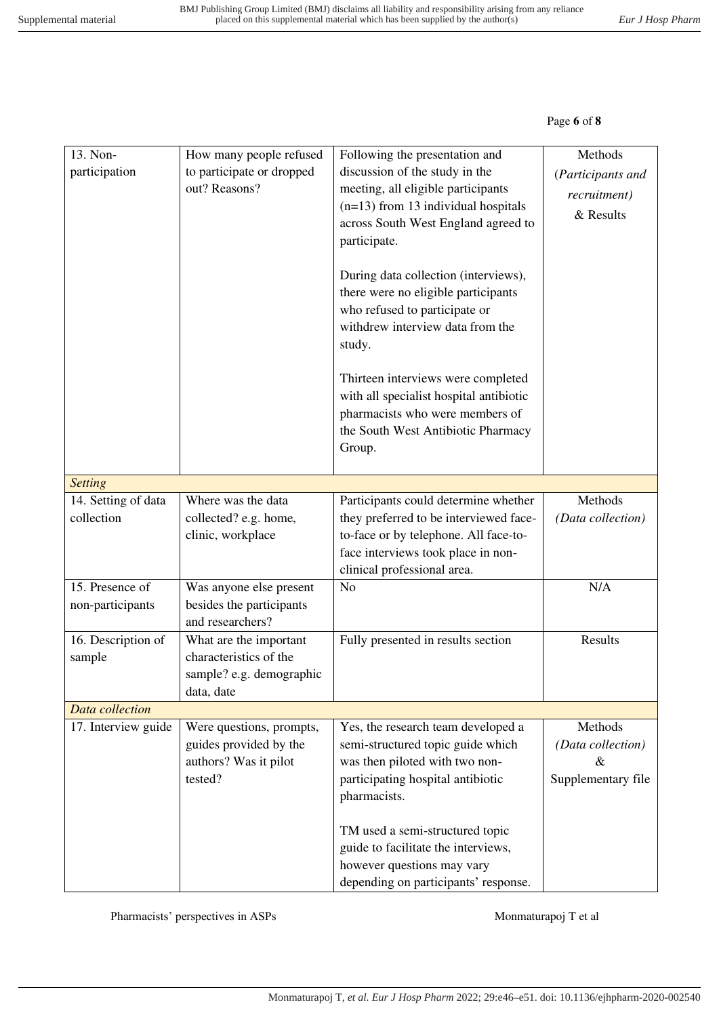# Page **6** of **8**

| 13. Non-<br>participation           | How many people refused<br>to participate or dropped<br>out? Reasons?                      | Following the presentation and<br>discussion of the study in the<br>meeting, all eligible participants<br>$(n=13)$ from 13 individual hospitals<br>across South West England agreed to<br>participate.<br>During data collection (interviews),<br>there were no eligible participants<br>who refused to participate or<br>withdrew interview data from the<br>study.<br>Thirteen interviews were completed<br>with all specialist hospital antibiotic<br>pharmacists who were members of<br>the South West Antibiotic Pharmacy<br>Group. | Methods<br>(Participants and<br>recruitment)<br>& Results |  |
|-------------------------------------|--------------------------------------------------------------------------------------------|------------------------------------------------------------------------------------------------------------------------------------------------------------------------------------------------------------------------------------------------------------------------------------------------------------------------------------------------------------------------------------------------------------------------------------------------------------------------------------------------------------------------------------------|-----------------------------------------------------------|--|
| <b>Setting</b>                      |                                                                                            |                                                                                                                                                                                                                                                                                                                                                                                                                                                                                                                                          |                                                           |  |
| 14. Setting of data<br>collection   | Where was the data<br>collected? e.g. home,<br>clinic, workplace                           | Participants could determine whether<br>they preferred to be interviewed face-<br>to-face or by telephone. All face-to-<br>face interviews took place in non-<br>clinical professional area.                                                                                                                                                                                                                                                                                                                                             | Methods<br>(Data collection)                              |  |
| 15. Presence of<br>non-participants | Was anyone else present<br>besides the participants<br>and researchers?                    | N <sub>o</sub>                                                                                                                                                                                                                                                                                                                                                                                                                                                                                                                           | N/A                                                       |  |
| 16. Description of<br>sample        | What are the important<br>characteristics of the<br>sample? e.g. demographic<br>data, date | Fully presented in results section                                                                                                                                                                                                                                                                                                                                                                                                                                                                                                       | Results                                                   |  |
| Data collection                     |                                                                                            |                                                                                                                                                                                                                                                                                                                                                                                                                                                                                                                                          |                                                           |  |
| 17. Interview guide                 | Were questions, prompts,<br>guides provided by the<br>authors? Was it pilot<br>tested?     | Yes, the research team developed a<br>semi-structured topic guide which<br>was then piloted with two non-<br>participating hospital antibiotic<br>pharmacists.<br>TM used a semi-structured topic<br>guide to facilitate the interviews,<br>however questions may vary                                                                                                                                                                                                                                                                   | Methods<br>(Data collection)<br>&<br>Supplementary file   |  |
|                                     |                                                                                            | depending on participants' response.                                                                                                                                                                                                                                                                                                                                                                                                                                                                                                     |                                                           |  |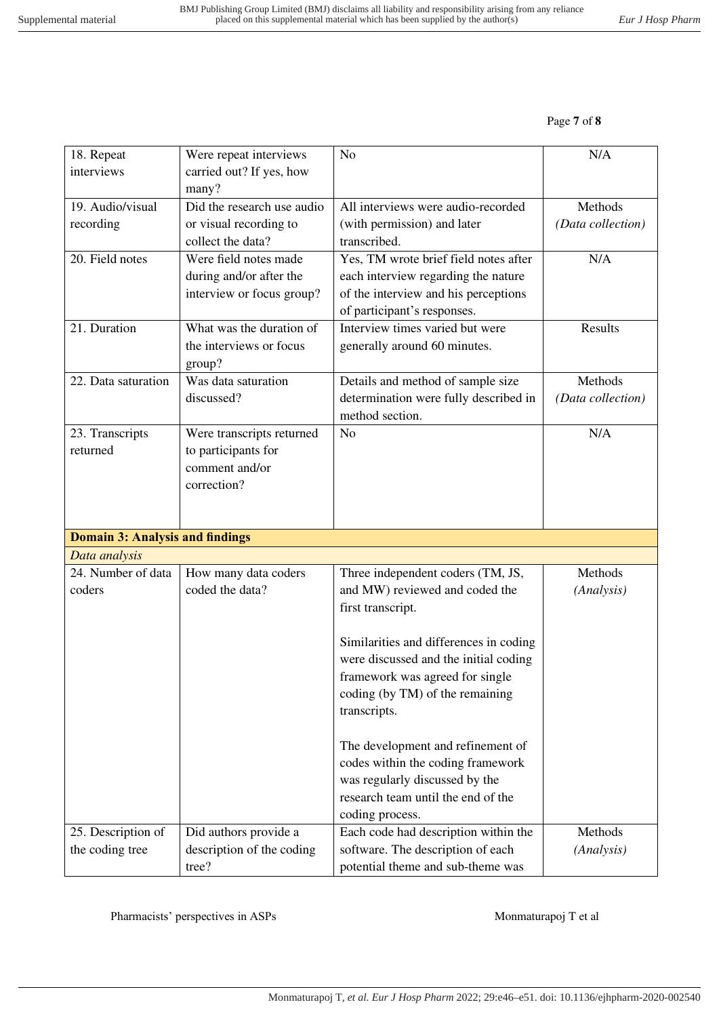#### Page **7** of **8**

| 18. Repeat<br>interviews               | Were repeat interviews<br>carried out? If yes, how | N <sub>o</sub>                                                         | N/A               |
|----------------------------------------|----------------------------------------------------|------------------------------------------------------------------------|-------------------|
|                                        | many?                                              |                                                                        |                   |
| 19. Audio/visual                       | Did the research use audio                         | All interviews were audio-recorded                                     | Methods           |
| recording                              | or visual recording to                             | (with permission) and later                                            | (Data collection) |
|                                        | collect the data?                                  | transcribed.                                                           |                   |
| 20. Field notes                        | Were field notes made                              | Yes, TM wrote brief field notes after                                  | N/A               |
|                                        | during and/or after the                            | each interview regarding the nature                                    |                   |
|                                        | interview or focus group?                          | of the interview and his perceptions                                   |                   |
|                                        |                                                    | of participant's responses.                                            |                   |
| 21. Duration                           | What was the duration of                           | Interview times varied but were                                        | Results           |
|                                        | the interviews or focus<br>group?                  | generally around 60 minutes.                                           |                   |
| 22. Data saturation                    | Was data saturation                                | Details and method of sample size                                      | Methods           |
|                                        | discussed?                                         | determination were fully described in                                  | (Data collection) |
|                                        |                                                    | method section.                                                        |                   |
| 23. Transcripts                        | Were transcripts returned                          | N <sub>o</sub>                                                         | N/A               |
| returned                               | to participants for                                |                                                                        |                   |
|                                        | comment and/or                                     |                                                                        |                   |
|                                        | correction?                                        |                                                                        |                   |
|                                        |                                                    |                                                                        |                   |
| <b>Domain 3: Analysis and findings</b> |                                                    |                                                                        |                   |
| Data analysis                          |                                                    |                                                                        |                   |
| 24. Number of data                     | How many data coders                               | Three independent coders (TM, JS,                                      | Methods           |
| coders                                 | coded the data?                                    | and MW) reviewed and coded the                                         | (Analysis)        |
|                                        |                                                    | first transcript.                                                      |                   |
|                                        |                                                    |                                                                        |                   |
|                                        |                                                    | Similarities and differences in coding                                 |                   |
|                                        |                                                    | were discussed and the initial coding                                  |                   |
|                                        |                                                    | framework was agreed for single                                        |                   |
|                                        |                                                    | coding (by TM) of the remaining                                        |                   |
|                                        |                                                    | transcripts.                                                           |                   |
|                                        |                                                    |                                                                        |                   |
|                                        |                                                    |                                                                        |                   |
|                                        |                                                    | The development and refinement of                                      |                   |
|                                        |                                                    | codes within the coding framework                                      |                   |
|                                        |                                                    | was regularly discussed by the                                         |                   |
|                                        |                                                    | research team until the end of the                                     |                   |
|                                        |                                                    | coding process.                                                        |                   |
| 25. Description of                     | Did authors provide a                              | Each code had description within the                                   | Methods           |
| the coding tree                        | description of the coding<br>tree?                 | software. The description of each<br>potential theme and sub-theme was | (Analysis)        |